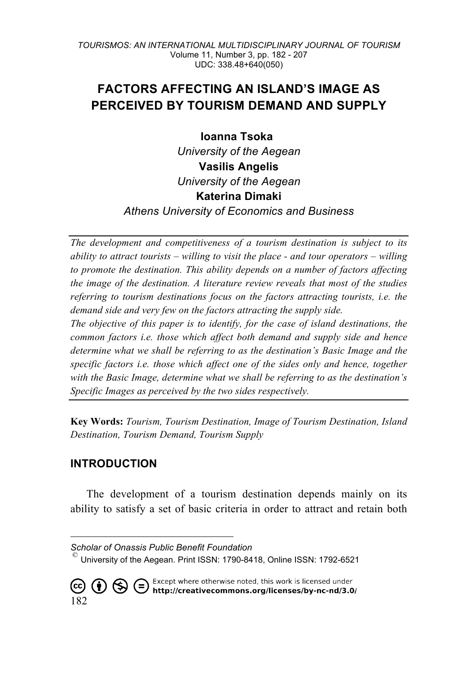# **FACTORS AFFECTING AN ISLAND'S IMAGE AS PERCEIVED BY TOURISM DEMAND AND SUPPLY**

**Ioanna Tsoka** 

*University of the Aegean* **Vasilis Angelis** *University of the Aegean* **Katerina Dimaki**

*Athens University of Economics and Business*

*The development and competitiveness of a tourism destination is subject to its ability to attract tourists – willing to visit the place - and tour operators – willing to promote the destination. This ability depends on a number of factors affecting the image of the destination. A literature review reveals that most of the studies referring to tourism destinations focus on the factors attracting tourists, i.e. the demand side and very few on the factors attracting the supply side.* 

*The objective of this paper is to identify, for the case of island destinations, the common factors i.e. those which affect both demand and supply side and hence determine what we shall be referring to as the destination's Basic Image and the specific factors i.e. those which affect one of the sides only and hence, together with the Basic Image, determine what we shall be referring to as the destination's Specific Images as perceived by the two sides respectively.* 

**Key Words:** *Tourism, Tourism Destination, Image of Tourism Destination, Island Destination, Tourism Demand, Tourism Supply*

# **INTRODUCTION**

The development of a tourism destination depends mainly on its ability to satisfy a set of basic criteria in order to attract and retain both

Except where otherwise noted, this work is licensed under<br>http://creativecommons.org/licenses/by-nc-nd/3.0/  $\circledS \in$  $(\dagger)$ 182

<sup>-</sup>

*Scholar of Onassis Public Benefit Foundation* © University of the Aegean. Print ISSN: 1790-8418, Online ISSN: 1792-6521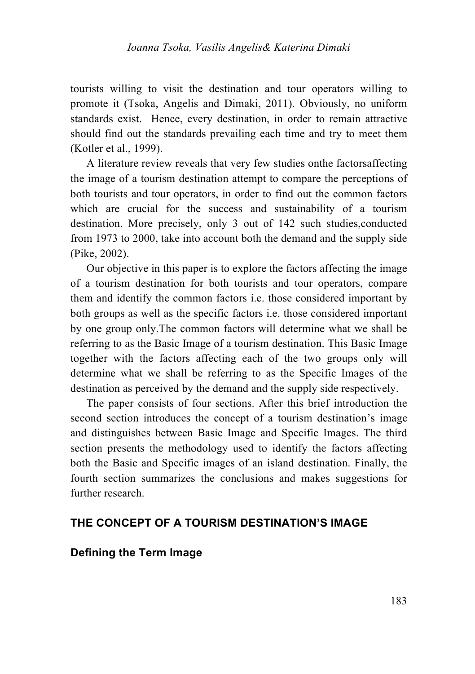tourists willing to visit the destination and tour operators willing to promote it (Tsoka, Angelis and Dimaki, 2011). Obviously, no uniform standards exist. Hence, every destination, in order to remain attractive should find out the standards prevailing each time and try to meet them (Kotler et al., 1999).

A literature review reveals that very few studies onthe factorsaffecting the image of a tourism destination attempt to compare the perceptions of both tourists and tour operators, in order to find out the common factors which are crucial for the success and sustainability of a tourism destination. More precisely, only 3 out of 142 such studies,conducted from 1973 to 2000, take into account both the demand and the supply side (Pike, 2002).

Our objective in this paper is to explore the factors affecting the image of a tourism destination for both tourists and tour operators, compare them and identify the common factors i.e. those considered important by both groups as well as the specific factors i.e. those considered important by one group only.The common factors will determine what we shall be referring to as the Basic Image of a tourism destination. This Basic Image together with the factors affecting each of the two groups only will determine what we shall be referring to as the Specific Images of the destination as perceived by the demand and the supply side respectively.

The paper consists of four sections. After this brief introduction the second section introduces the concept of a tourism destination's image and distinguishes between Basic Image and Specific Images. The third section presents the methodology used to identify the factors affecting both the Basic and Specific images of an island destination. Finally, the fourth section summarizes the conclusions and makes suggestions for further research.

### **THE CONCEPT OF A TOURISM DESTINATION'S IMAGE**

### **Defining the Term Image**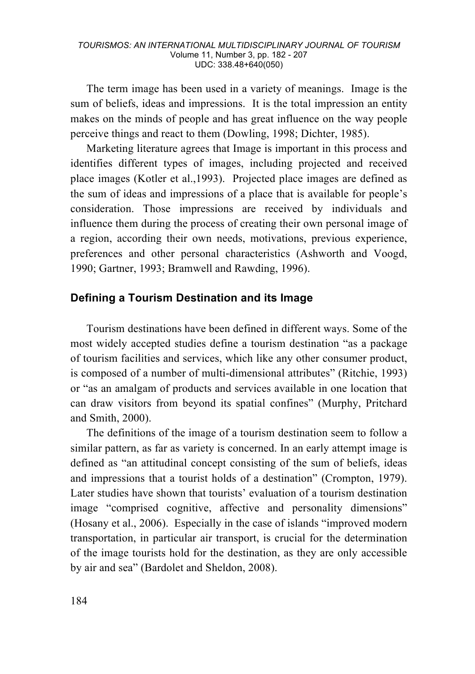The term image has been used in a variety of meanings. Image is the sum of beliefs, ideas and impressions. It is the total impression an entity makes on the minds of people and has great influence on the way people perceive things and react to them (Dowling, 1998; Dichter, 1985).

Marketing literature agrees that Image is important in this process and identifies different types of images, including projected and received place images (Kotler et al.,1993). Projected place images are defined as the sum of ideas and impressions of a place that is available for people's consideration. Those impressions are received by individuals and influence them during the process of creating their own personal image of a region, according their own needs, motivations, previous experience, preferences and other personal characteristics (Ashworth and Voogd, 1990; Gartner, 1993; Bramwell and Rawding, 1996).

### **Defining a Tourism Destination and its Image**

Tourism destinations have been defined in different ways. Some of the most widely accepted studies define a tourism destination "as a package of tourism facilities and services, which like any other consumer product, is composed of a number of multi-dimensional attributes" (Ritchie, 1993) or "as an amalgam of products and services available in one location that can draw visitors from beyond its spatial confines" (Murphy, Pritchard and Smith, 2000).

The definitions of the image of a tourism destination seem to follow a similar pattern, as far as variety is concerned. In an early attempt image is defined as "an attitudinal concept consisting of the sum of beliefs, ideas and impressions that a tourist holds of a destination" (Crompton, 1979). Later studies have shown that tourists' evaluation of a tourism destination image "comprised cognitive, affective and personality dimensions" (Hosany et al., 2006). Especially in the case of islands "improved modern transportation, in particular air transport, is crucial for the determination of the image tourists hold for the destination, as they are only accessible by air and sea" (Bardolet and Sheldon, 2008).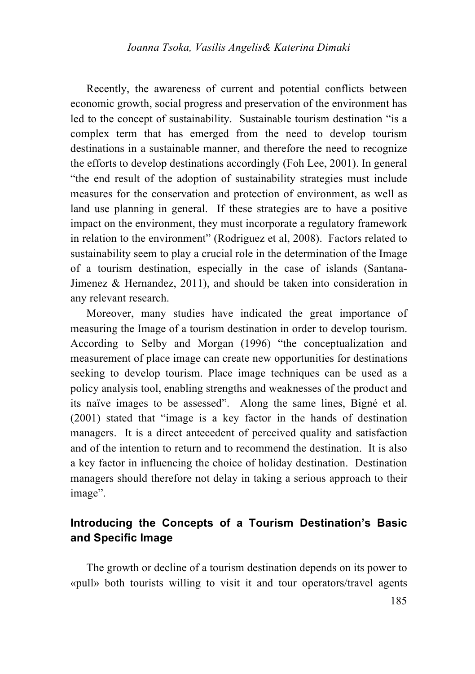Recently, the awareness of current and potential conflicts between economic growth, social progress and preservation of the environment has led to the concept of sustainability. Sustainable tourism destination "is a complex term that has emerged from the need to develop tourism destinations in a sustainable manner, and therefore the need to recognize the efforts to develop destinations accordingly (Foh Lee, 2001). In general "the end result of the adoption of sustainability strategies must include measures for the conservation and protection of environment, as well as land use planning in general. If these strategies are to have a positive impact on the environment, they must incorporate a regulatory framework in relation to the environment" (Rodriguez et al, 2008). Factors related to sustainability seem to play a crucial role in the determination of the Image of a tourism destination, especially in the case of islands (Santana-Jimenez & Hernandez, 2011), and should be taken into consideration in any relevant research.

Moreover, many studies have indicated the great importance of measuring the Image of a tourism destination in order to develop tourism. According to Selby and Morgan (1996) "the conceptualization and measurement of place image can create new opportunities for destinations seeking to develop tourism. Place image techniques can be used as a policy analysis tool, enabling strengths and weaknesses of the product and its naïve images to be assessed". Along the same lines, Bigné et al. (2001) stated that "image is a key factor in the hands of destination managers. It is a direct antecedent of perceived quality and satisfaction and of the intention to return and to recommend the destination. It is also a key factor in influencing the choice of holiday destination. Destination managers should therefore not delay in taking a serious approach to their image".

# **Introducing the Concepts of a Tourism Destination's Basic and Specific Image**

The growth or decline of a tourism destination depends on its power to «pull» both tourists willing to visit it and tour operators/travel agents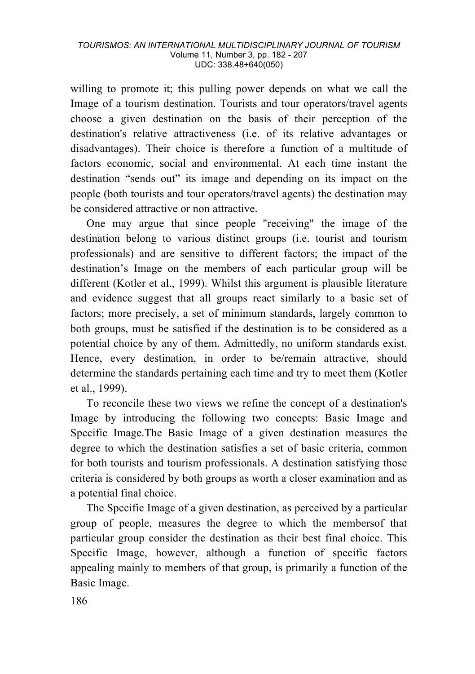willing to promote it; this pulling power depends on what we call the Image of a tourism destination. Tourists and tour operators/travel agents choose a given destination on the basis of their perception of the destination's relative attractiveness (i.e. of its relative advantages or disadvantages). Their choice is therefore a function of a multitude of factors economic, social and environmental. At each time instant the destination "sends out" its image and depending on its impact on the people (both tourists and tour operators/travel agents) the destination may be considered attractive or non attractive.

One may argue that since people "receiving" the image of the destination belong to various distinct groups (i.e. tourist and tourism professionals) and are sensitive to different factors; the impact of the destination's Image on the members of each particular group will be different (Kotler et al., 1999). Whilst this argument is plausible literature and evidence suggest that all groups react similarly to a basic set of factors; more precisely, a set of minimum standards, largely common to both groups, must be satisfied if the destination is to be considered as a potential choice by any of them. Admittedly, no uniform standards exist. Hence, every destination, in order to be/remain attractive, should determine the standards pertaining each time and try to meet them (Kotler et al., 1999).

To reconcile these two views we refine the concept of a destination's Image by introducing the following two concepts: Basic Image and Specific Image.The Basic Image of a given destination measures the degree to which the destination satisfies a set of basic criteria, common for both tourists and tourism professionals. A destination satisfying those criteria is considered by both groups as worth a closer examination and as a potential final choice.

The Specific Image of a given destination, as perceived by a particular group of people, measures the degree to which the membersof that particular group consider the destination as their best final choice. This Specific Image, however, although a function of specific factors appealing mainly to members of that group, is primarily a function of the Basic Image.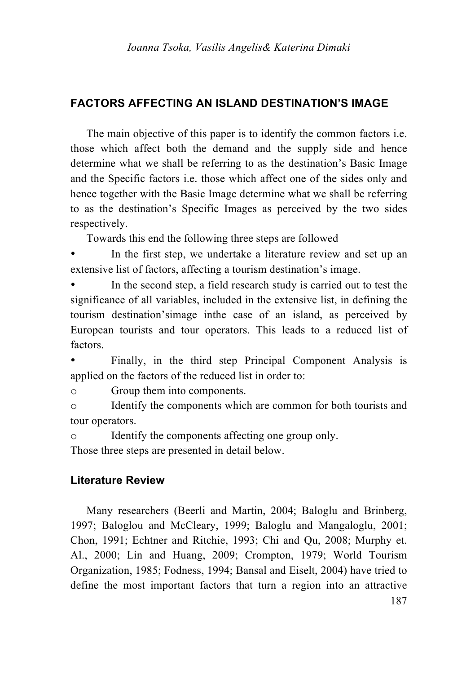### **FACTORS AFFECTING AN ISLAND DESTINATION'S IMAGE**

The main objective of this paper is to identify the common factors i.e. those which affect both the demand and the supply side and hence determine what we shall be referring to as the destination's Basic Image and the Specific factors i.e. those which affect one of the sides only and hence together with the Basic Image determine what we shall be referring to as the destination's Specific Images as perceived by the two sides respectively.

Towards this end the following three steps are followed

In the first step, we undertake a literature review and set up an extensive list of factors, affecting a tourism destination's image.

In the second step, a field research study is carried out to test the significance of all variables, included in the extensive list, in defining the tourism destination'simage inthe case of an island, as perceived by European tourists and tour operators. This leads to a reduced list of factors.

Finally, in the third step Principal Component Analysis is applied on the factors of the reduced list in order to:

o Group them into components.

o Identify the components which are common for both tourists and tour operators.

o Identify the components affecting one group only.

Those three steps are presented in detail below.

### **Literature Review**

Many researchers (Beerli and Martin, 2004; Baloglu and Brinberg, 1997; Baloglou and McCleary, 1999; Baloglu and Mangaloglu, 2001; Chon, 1991; Echtner and Ritchie, 1993; Chi and Qu, 2008; Murphy et. Al., 2000; Lin and Huang, 2009; Crompton, 1979; World Tourism Organization, 1985; Fodness, 1994; Bansal and Eiselt, 2004) have tried to define the most important factors that turn a region into an attractive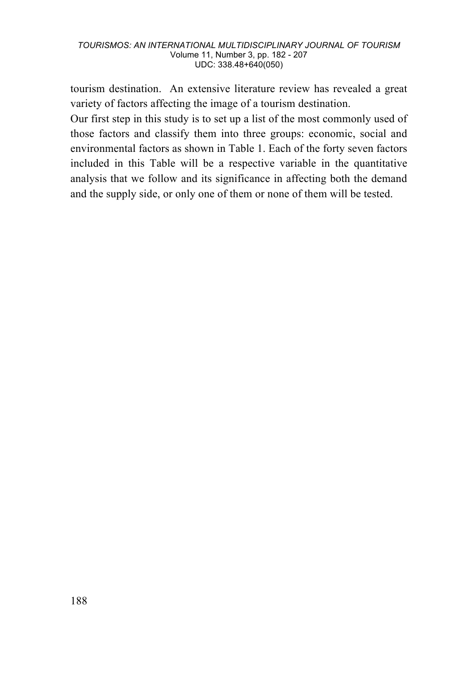tourism destination. An extensive literature review has revealed a great variety of factors affecting the image of a tourism destination.

Our first step in this study is to set up a list of the most commonly used of those factors and classify them into three groups: economic, social and environmental factors as shown in Table 1. Each of the forty seven factors included in this Table will be a respective variable in the quantitative analysis that we follow and its significance in affecting both the demand and the supply side, or only one of them or none of them will be tested.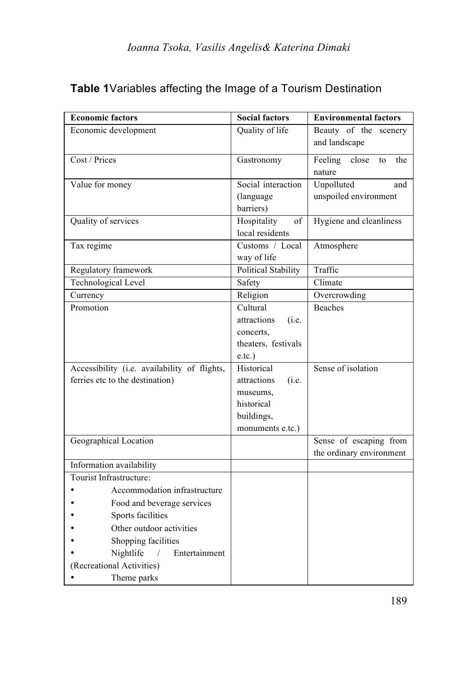|                                                                                 | <b>Economic factors</b>                  | <b>Social factors</b>                                                                          | <b>Environmental factors</b>                       |  |  |
|---------------------------------------------------------------------------------|------------------------------------------|------------------------------------------------------------------------------------------------|----------------------------------------------------|--|--|
|                                                                                 | Economic development                     | Quality of life                                                                                | Beauty of the scenery<br>and landscape             |  |  |
| Cost / Prices                                                                   |                                          | Gastronomy                                                                                     | Feeling<br>close<br>the<br>to<br>nature            |  |  |
| Value for money                                                                 |                                          | Social interaction<br>(language)<br>barriers)                                                  | Unpolluted<br>and<br>unspoiled environment         |  |  |
|                                                                                 | Quality of services                      | Hospitality<br>of<br>local residents                                                           | Hygiene and cleanliness                            |  |  |
| Tax regime                                                                      |                                          | Customs / Local<br>way of life                                                                 | Atmosphere                                         |  |  |
|                                                                                 | Regulatory framework                     | Political Stability                                                                            | Traffic                                            |  |  |
|                                                                                 | Technological Level                      | Safety                                                                                         | Climate                                            |  |  |
| Currency                                                                        |                                          | Religion                                                                                       | Overcrowding                                       |  |  |
| Promotion                                                                       |                                          | Cultural<br>attractions<br>(i.e.<br>concerts,<br>theaters, festivals<br>e.tc.                  | <b>Beaches</b>                                     |  |  |
| Accessibility (i.e. availability of flights,<br>ferries etc to the destination) |                                          | Historical<br>attractions<br>(i.e.<br>museums,<br>historical<br>buildings,<br>monuments e.tc.) | Sense of isolation                                 |  |  |
|                                                                                 | Geographical Location                    |                                                                                                | Sense of escaping from<br>the ordinary environment |  |  |
|                                                                                 | Information availability                 |                                                                                                |                                                    |  |  |
|                                                                                 | Tourist Infrastructure:                  |                                                                                                |                                                    |  |  |
|                                                                                 | Accommodation infrastructure             |                                                                                                |                                                    |  |  |
|                                                                                 | Food and beverage services               |                                                                                                |                                                    |  |  |
| Sports facilities                                                               |                                          |                                                                                                |                                                    |  |  |
|                                                                                 | Other outdoor activities                 |                                                                                                |                                                    |  |  |
|                                                                                 | Shopping facilities                      |                                                                                                |                                                    |  |  |
|                                                                                 | Nightlife<br>Entertainment<br>$\sqrt{2}$ |                                                                                                |                                                    |  |  |
|                                                                                 | (Recreational Activities)                |                                                                                                |                                                    |  |  |
|                                                                                 | Theme parks                              |                                                                                                |                                                    |  |  |

# **Table 1**Variables affecting the Image of a Tourism Destination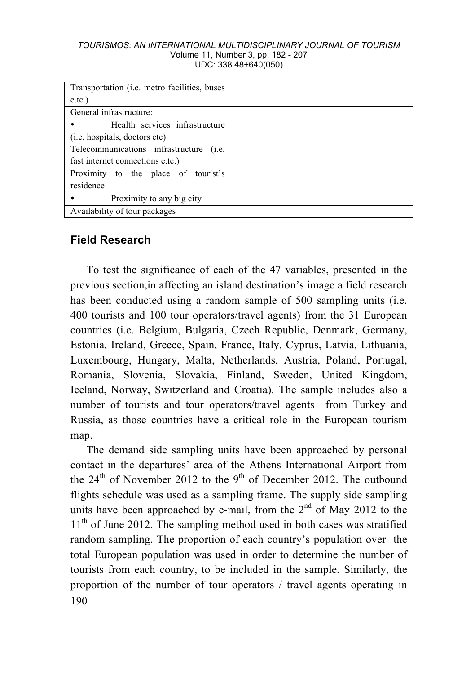| Transportation ( <i>i.e.</i> metro facilities, buses |  |
|------------------------------------------------------|--|
| e.tc.                                                |  |
| General infrastructure:                              |  |
| Health services infrastructure                       |  |
| ( <i>i.e.</i> hospitals, doctors etc)                |  |
| Telecommunications infrastructure (i.e.              |  |
| fast internet connections e.tc.)                     |  |
| Proximity to the place of tourist's                  |  |
| residence                                            |  |
| Proximity to any big city                            |  |
| Availability of tour packages                        |  |

### **Field Research**

To test the significance of each of the 47 variables, presented in the previous section,in affecting an island destination's image a field research has been conducted using a random sample of 500 sampling units (i.e. 400 tourists and 100 tour operators/travel agents) from the 31 European countries (i.e. Belgium, Bulgaria, Czech Republic, Denmark, Germany, Estonia, Ireland, Greece, Spain, France, Italy, Cyprus, Latvia, Lithuania, Luxembourg, Hungary, Malta, Netherlands, Austria, Poland, Portugal, Romania, Slovenia, Slovakia, Finland, Sweden, United Kingdom, Iceland, Norway, Switzerland and Croatia). The sample includes also a number of tourists and tour operators/travel agents from Turkey and Russia, as those countries have a critical role in the European tourism map.

190 The demand side sampling units have been approached by personal contact in the departures' area of the Athens International Airport from the  $24<sup>th</sup>$  of November 2012 to the 9<sup>th</sup> of December 2012. The outbound flights schedule was used as a sampling frame. The supply side sampling units have been approached by e-mail, from the  $2<sup>nd</sup>$  of May 2012 to the 11<sup>th</sup> of June 2012. The sampling method used in both cases was stratified random sampling. The proportion of each country's population over the total European population was used in order to determine the number of tourists from each country, to be included in the sample. Similarly, the proportion of the number of tour operators / travel agents operating in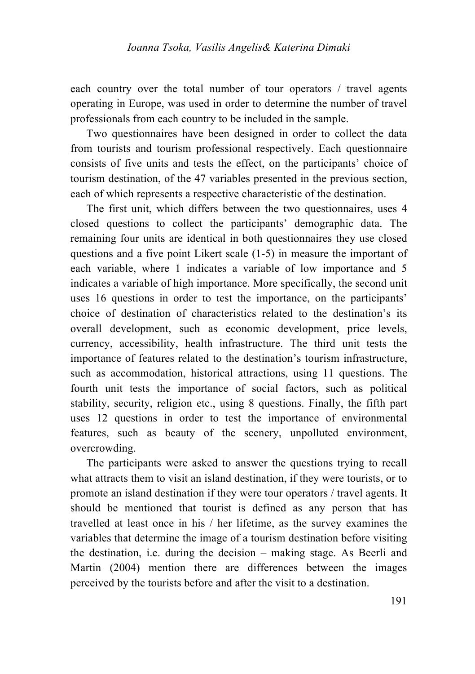each country over the total number of tour operators / travel agents operating in Europe, was used in order to determine the number of travel professionals from each country to be included in the sample.

Two questionnaires have been designed in order to collect the data from tourists and tourism professional respectively. Each questionnaire consists of five units and tests the effect, on the participants' choice of tourism destination, of the 47 variables presented in the previous section, each of which represents a respective characteristic of the destination.

The first unit, which differs between the two questionnaires, uses 4 closed questions to collect the participants' demographic data. The remaining four units are identical in both questionnaires they use closed questions and a five point Likert scale (1-5) in measure the important of each variable, where 1 indicates a variable of low importance and 5 indicates a variable of high importance. More specifically, the second unit uses 16 questions in order to test the importance, on the participants' choice of destination of characteristics related to the destination's its overall development, such as economic development, price levels, currency, accessibility, health infrastructure. The third unit tests the importance of features related to the destination's tourism infrastructure, such as accommodation, historical attractions, using 11 questions. The fourth unit tests the importance of social factors, such as political stability, security, religion etc., using 8 questions. Finally, the fifth part uses 12 questions in order to test the importance of environmental features, such as beauty of the scenery, unpolluted environment, overcrowding.

The participants were asked to answer the questions trying to recall what attracts them to visit an island destination, if they were tourists, or to promote an island destination if they were tour operators / travel agents. It should be mentioned that tourist is defined as any person that has travelled at least once in his / her lifetime, as the survey examines the variables that determine the image of a tourism destination before visiting the destination, i.e. during the decision – making stage. As Beerli and Martin (2004) mention there are differences between the images perceived by the tourists before and after the visit to a destination.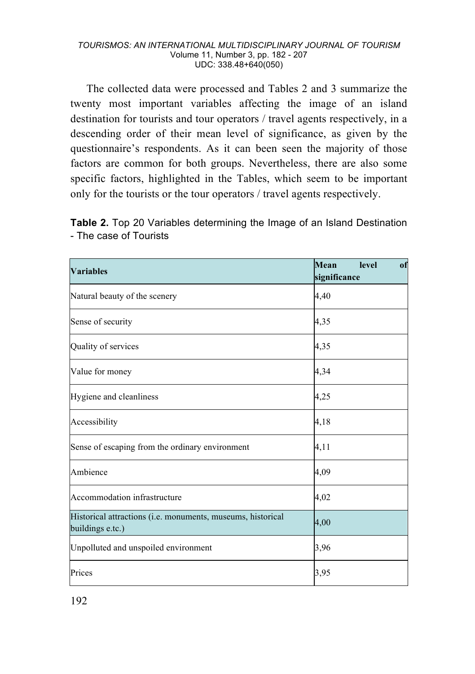The collected data were processed and Tables 2 and 3 summarize the twenty most important variables affecting the image of an island destination for tourists and tour operators / travel agents respectively, in a descending order of their mean level of significance, as given by the questionnaire's respondents. As it can been seen the majority of those factors are common for both groups. Nevertheless, there are also some specific factors, highlighted in the Tables, which seem to be important only for the tourists or the tour operators / travel agents respectively.

**Table 2.** Top 20 Variables determining the Image of an Island Destination - The case of Tourists

| <b>Variables</b>                                                                | Mean<br>level<br>of<br>significance |
|---------------------------------------------------------------------------------|-------------------------------------|
| Natural beauty of the scenery                                                   | 4,40                                |
| Sense of security                                                               | 4,35                                |
| Quality of services                                                             | 4,35                                |
| Value for money                                                                 | 4,34                                |
| Hygiene and cleanliness                                                         | 4,25                                |
| Accessibility                                                                   | 4,18                                |
| Sense of escaping from the ordinary environment                                 | 4,11                                |
| Ambience                                                                        | 4,09                                |
| Accommodation infrastructure                                                    | 4,02                                |
| Historical attractions (i.e. monuments, museums, historical<br>buildings e.tc.) | 4,00                                |
| Unpolluted and unspoiled environment                                            | 3,96                                |
| Prices                                                                          | 3,95                                |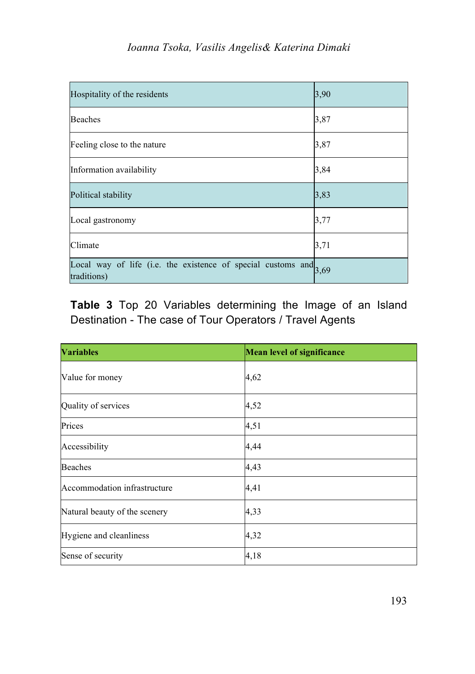| Hospitality of the residents                                                       | 3,90 |
|------------------------------------------------------------------------------------|------|
| Beaches                                                                            | 3,87 |
| Feeling close to the nature                                                        | 3,87 |
| Information availability                                                           | 3,84 |
| Political stability                                                                | 3,83 |
| Local gastronomy                                                                   | 3,77 |
| Climate                                                                            | 3,71 |
| Local way of life (i.e. the existence of special customs and $3,69$<br>traditions) |      |

**Table 3** Top 20 Variables determining the Image of an Island Destination - The case of Tour Operators / Travel Agents

| <b>Variables</b>              | <b>Mean level of significance</b> |
|-------------------------------|-----------------------------------|
| Value for money               | 4,62                              |
| Quality of services           | 4,52                              |
| Prices                        | 4,51                              |
| Accessibility                 | 4,44                              |
| <b>Beaches</b>                | 4,43                              |
| Accommodation infrastructure  | 4,41                              |
| Natural beauty of the scenery | 4,33                              |
| Hygiene and cleanliness       | 4,32                              |
| Sense of security             | 4,18                              |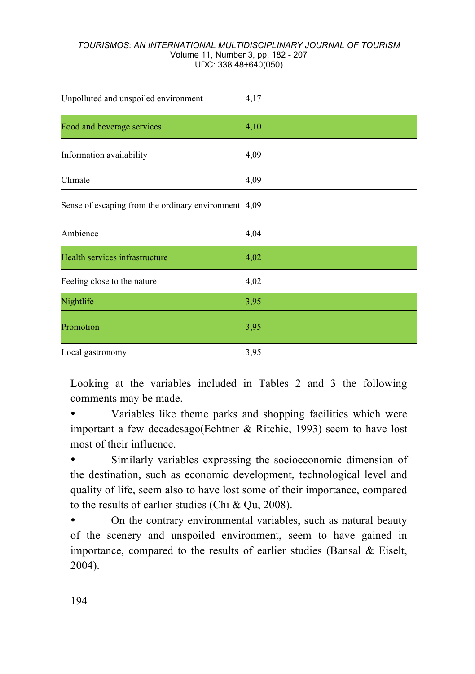| Unpolluted and unspoiled environment                           | 4,17 |
|----------------------------------------------------------------|------|
| Food and beverage services                                     | 4,10 |
| Information availability                                       | 4,09 |
| Climate                                                        | 4,09 |
| Sense of escaping from the ordinary environment $ 4,09\rangle$ |      |
| Ambience                                                       | 4,04 |
| Health services infrastructure                                 | 4,02 |
| Feeling close to the nature                                    | 4,02 |
| Nightlife                                                      | 3,95 |
| Promotion                                                      | 3,95 |
| Local gastronomy                                               | 3,95 |

Looking at the variables included in Tables 2 and 3 the following comments may be made.

• Variables like theme parks and shopping facilities which were important a few decadesago(Echtner & Ritchie, 1993) seem to have lost most of their influence.

Similarly variables expressing the socioeconomic dimension of the destination, such as economic development, technological level and quality of life, seem also to have lost some of their importance, compared to the results of earlier studies (Chi & Qu, 2008).

• On the contrary environmental variables, such as natural beauty of the scenery and unspoiled environment, seem to have gained in importance, compared to the results of earlier studies (Bansal & Eiselt, 2004).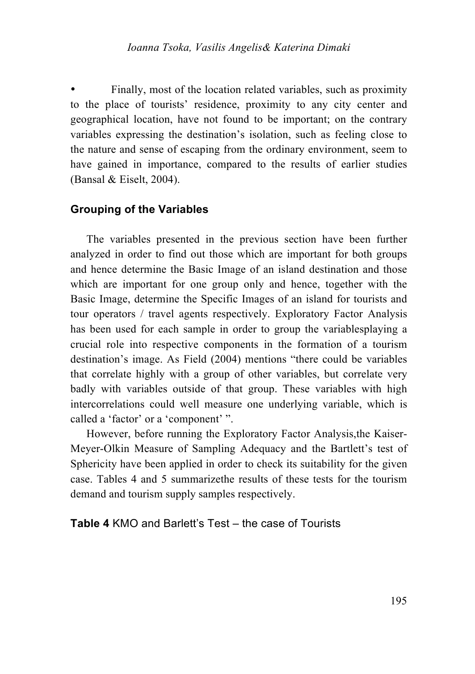Finally, most of the location related variables, such as proximity to the place of tourists' residence, proximity to any city center and geographical location, have not found to be important; on the contrary variables expressing the destination's isolation, such as feeling close to the nature and sense of escaping from the ordinary environment, seem to have gained in importance, compared to the results of earlier studies (Bansal & Eiselt, 2004).

### **Grouping of the Variables**

The variables presented in the previous section have been further analyzed in order to find out those which are important for both groups and hence determine the Basic Image of an island destination and those which are important for one group only and hence, together with the Basic Image, determine the Specific Images of an island for tourists and tour operators / travel agents respectively. Exploratory Factor Analysis has been used for each sample in order to group the variablesplaying a crucial role into respective components in the formation of a tourism destination's image. As Field (2004) mentions "there could be variables that correlate highly with a group of other variables, but correlate very badly with variables outside of that group. These variables with high intercorrelations could well measure one underlying variable, which is called a 'factor' or a 'component' ".

However, before running the Exploratory Factor Analysis,the Kaiser-Meyer-Olkin Measure of Sampling Adequacy and the Bartlett's test of Sphericity have been applied in order to check its suitability for the given case. Tables 4 and 5 summarizethe results of these tests for the tourism demand and tourism supply samples respectively.

**Table 4** KMO and Barlett's Test – the case of Tourists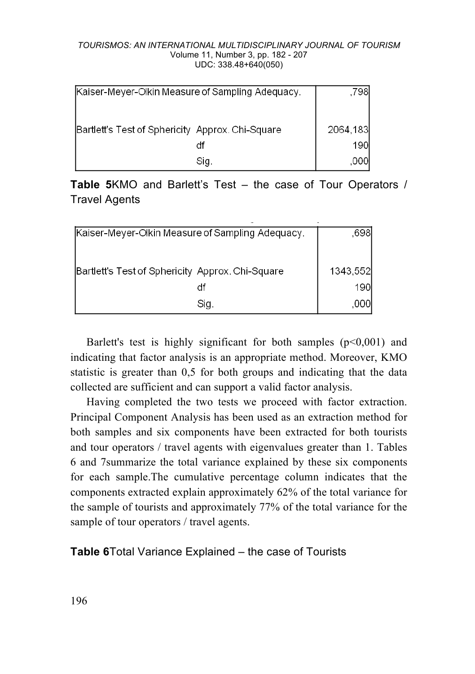| Kaiser-Meyer-Olkin Measure of Sampling Adequacy. | .7981    |
|--------------------------------------------------|----------|
| Bartlett's Test of Sphericity Approx. Chi-Square | 2064,183 |
|                                                  | 190I     |
| Sig.                                             | ,000     |

**Table 5**KMO and Barlett's Test – the case of Tour Operators / Travel Agents

| Kaiser-Meyer-Olkin Measure of Sampling Adequacy. | .6981      |
|--------------------------------------------------|------------|
|                                                  |            |
| Bartlett's Test of Sphericity Approx. Chi-Square | 1343,552   |
|                                                  | <b>190</b> |
| Sig.                                             | .000       |

Barlett's test is highly significant for both samples  $(p<0,001)$  and indicating that factor analysis is an appropriate method. Moreover, KMO statistic is greater than 0,5 for both groups and indicating that the data collected are sufficient and can support a valid factor analysis.

Having completed the two tests we proceed with factor extraction. Principal Component Analysis has been used as an extraction method for both samples and six components have been extracted for both tourists and tour operators / travel agents with eigenvalues greater than 1. Tables 6 and 7summarize the total variance explained by these six components for each sample.The cumulative percentage column indicates that the components extracted explain approximately 62% of the total variance for the sample of tourists and approximately 77% of the total variance for the sample of tour operators / travel agents.

**Table 6**Total Variance Explained – the case of Tourists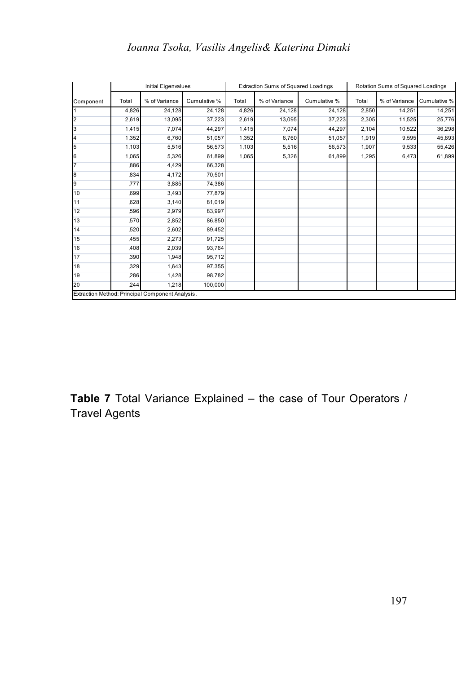# *Ioanna Tsoka, Vasilis Angelis& Katerina Dimaki*

|                |       | Initial Eigenvalues                              |              |       | Extraction Sums of Squared Loadings |              | Rotation Sums of Squared Loadings |               |              |
|----------------|-------|--------------------------------------------------|--------------|-------|-------------------------------------|--------------|-----------------------------------|---------------|--------------|
| Component      | Total | % of Variance                                    | Cumulative % | Total | % of Variance                       | Cumulative % | Total                             | % of Variance | Cumulative % |
| $\overline{1}$ | 4,826 | 24,128                                           | 24,128       | 4,826 | 24,128                              | 24,128       | 2.850                             | 14,251        | 14,251       |
| $\overline{2}$ | 2,619 | 13.095                                           | 37,223       | 2,619 | 13,095                              | 37.223       | 2,305                             | 11.525        | 25,776       |
| 3              | 1.415 | 7.074                                            | 44.297       | 1,415 | 7.074                               | 44.297       | 2,104                             | 10,522        | 36,298       |
| 4              | 1,352 | 6.760                                            | 51,057       | 1,352 | 6.760                               | 51,057       | 1,919                             | 9,595         | 45,893       |
| 5              | 1,103 | 5.516                                            | 56.573       | 1,103 | 5.516                               | 56.573       | 1.907                             | 9.533         | 55,426       |
| 6              | 1,065 | 5,326                                            | 61,899       | 1,065 | 5,326                               | 61,899       | 1,295                             | 6,473         | 61,899       |
| $\overline{7}$ | ,886  | 4.429                                            | 66.328       |       |                                     |              |                                   |               |              |
| $\overline{8}$ | ,834  | 4.172                                            | 70,501       |       |                                     |              |                                   |               |              |
| 9              | .777  | 3,885                                            | 74.386       |       |                                     |              |                                   |               |              |
| 10             | .699  | 3,493                                            | 77,879       |       |                                     |              |                                   |               |              |
| 11             | .628  | 3.140                                            | 81,019       |       |                                     |              |                                   |               |              |
| 12             | ,596  | 2.979                                            | 83.997       |       |                                     |              |                                   |               |              |
| 13             | .570  | 2,852                                            | 86,850       |       |                                     |              |                                   |               |              |
| 14             | ,520  | 2.602                                            | 89.452       |       |                                     |              |                                   |               |              |
| 15             | ,455  | 2,273                                            | 91,725       |       |                                     |              |                                   |               |              |
| 16             | ,408  | 2.039                                            | 93.764       |       |                                     |              |                                   |               |              |
| 17             | ,390  | 1,948                                            | 95,712       |       |                                     |              |                                   |               |              |
| 18             | ,329  | 1.643                                            | 97,355       |       |                                     |              |                                   |               |              |
| 19             | ,286  | 1,428                                            | 98,782       |       |                                     |              |                                   |               |              |
| 20             | .244  | 1,218                                            | 100,000      |       |                                     |              |                                   |               |              |
|                |       | Extraction Method: Principal Component Analysis. |              |       |                                     |              |                                   |               |              |

**Table 7** Total Variance Explained – the case of Tour Operators / Travel Agents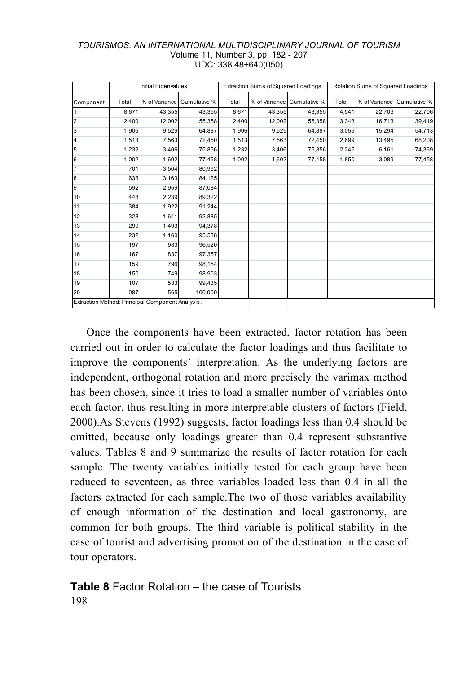|                | <b>Initial Eigenvalues</b> |                                                  |              |       | Extraction Sums of Squared Loadings |              | Rotation Sums of Squared Loadings |        |                            |
|----------------|----------------------------|--------------------------------------------------|--------------|-------|-------------------------------------|--------------|-----------------------------------|--------|----------------------------|
| Component      | Total                      | % of Variance                                    | Cumulative % | Total | % of Variance                       | Cumulative % | Total                             |        | % of Variance Cumulative % |
| $\overline{1}$ | 8,671                      | 43.355                                           | 43.355       | 8,671 | 43.355                              | 43.355       | 4.541                             | 22,706 | 22,706                     |
| $\overline{2}$ | 2,400                      | 12,002                                           | 55,358       | 2,400 | 12,002                              | 55,358       | 3,343                             | 16,713 | 39,419                     |
| 3              | 1,906                      | 9,529                                            | 64,887       | 1,906 | 9,529                               | 64,887       | 3,059                             | 15,294 | 54,713                     |
| $\overline{4}$ | 1,513                      | 7,563                                            | 72.450       | 1,513 | 7,563                               | 72,450       | 2,699                             | 13,495 | 68,208                     |
| 5              | 1,232                      | 3.406                                            | 75.856       | 1,232 | 3,406                               | 75,856       | 2,245                             | 6,161  | 74,369                     |
| 6              | 1,002                      | 1,602                                            | 77.458       | 1.002 | 1.602                               | 77,458       | 1.850                             | 3.089  | 77,458                     |
| $\overline{7}$ | .701                       | 3.504                                            | 80.962       |       |                                     |              |                                   |        |                            |
| $\overline{8}$ | ,633                       | 3,163                                            | 84,125       |       |                                     |              |                                   |        |                            |
| $\overline{9}$ | .592                       | 2,959                                            | 87,084       |       |                                     |              |                                   |        |                            |
| 10             | .448                       | 2.239                                            | 89.322       |       |                                     |              |                                   |        |                            |
| 11             | .384                       | 1.922                                            | 91.244       |       |                                     |              |                                   |        |                            |
| 12             | .328                       | 1.641                                            | 92.885       |       |                                     |              |                                   |        |                            |
| 13             | ,299                       | 1,493                                            | 94,378       |       |                                     |              |                                   |        |                            |
| 14             | ,232                       | 1,160                                            | 95,538       |       |                                     |              |                                   |        |                            |
| 15             | .197                       | ,983                                             | 96,520       |       |                                     |              |                                   |        |                            |
| 16             | .167                       | .837                                             | 97.357       |       |                                     |              |                                   |        |                            |
| 17             | ,159                       | .796                                             | 98.154       |       |                                     |              |                                   |        |                            |
| 18             | ,150                       | ,749                                             | 98,903       |       |                                     |              |                                   |        |                            |
| 19             | ,107                       | ,533                                             | 99,435       |       |                                     |              |                                   |        |                            |
| 20             | .087                       | ,565                                             | 100,000      |       |                                     |              |                                   |        |                            |
|                |                            | Extraction Method: Principal Component Analysis. |              |       |                                     |              |                                   |        |                            |

Once the components have been extracted, factor rotation has been carried out in order to calculate the factor loadings and thus facilitate to improve the components' interpretation. As the underlying factors are independent, orthogonal rotation and more precisely the varimax method has been chosen, since it tries to load a smaller number of variables onto each factor, thus resulting in more interpretable clusters of factors (Field, 2000).As Stevens (1992) suggests, factor loadings less than 0.4 should be omitted, because only loadings greater than 0.4 represent substantive values. Tables 8 and 9 summarize the results of factor rotation for each sample. The twenty variables initially tested for each group have been reduced to seventeen, as three variables loaded less than 0.4 in all the factors extracted for each sample.The two of those variables availability of enough information of the destination and local gastronomy, are common for both groups. The third variable is political stability in the case of tourist and advertising promotion of the destination in the case of tour operators.

### 198 **Table 8** Factor Rotation – the case of Tourists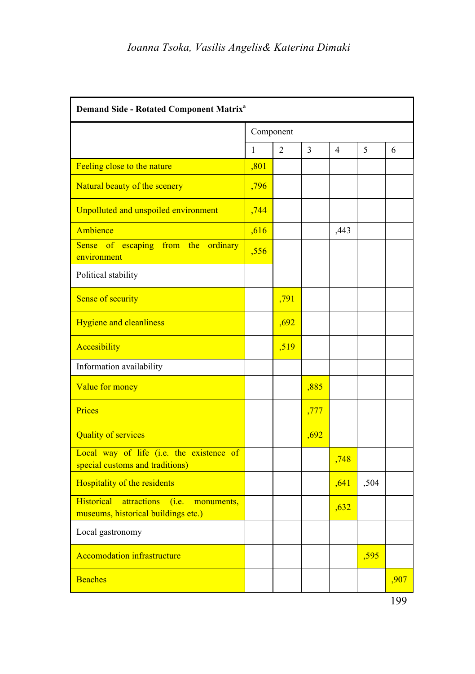| Demand Side - Rotated Component Matrix <sup>a</sup>                                            |           |                |      |      |      |      |  |  |  |
|------------------------------------------------------------------------------------------------|-----------|----------------|------|------|------|------|--|--|--|
|                                                                                                | Component |                |      |      |      |      |  |  |  |
|                                                                                                | 1         | $\overline{2}$ | 3    | 4    | 5    | 6    |  |  |  |
| Feeling close to the nature                                                                    | ,801      |                |      |      |      |      |  |  |  |
| Natural beauty of the scenery                                                                  | .796      |                |      |      |      |      |  |  |  |
| Unpolluted and unspoiled environment                                                           | ,744      |                |      |      |      |      |  |  |  |
| Ambience                                                                                       | ,616      |                |      | ,443 |      |      |  |  |  |
| Sense of<br>escaping<br>from the<br>ordinary<br>environment                                    | .556      |                |      |      |      |      |  |  |  |
| Political stability                                                                            |           |                |      |      |      |      |  |  |  |
| Sense of security                                                                              |           | .791           |      |      |      |      |  |  |  |
| <b>Hygiene and cleanliness</b>                                                                 |           | ,692           |      |      |      |      |  |  |  |
| Accesibility                                                                                   |           | ,519           |      |      |      |      |  |  |  |
| Information availability                                                                       |           |                |      |      |      |      |  |  |  |
| Value for money                                                                                |           |                | .885 |      |      |      |  |  |  |
| Prices                                                                                         |           |                | ,777 |      |      |      |  |  |  |
| <b>Quality of services</b>                                                                     |           |                | .692 |      |      |      |  |  |  |
| Local way of life (i.e. the existence of<br>special customs and traditions)                    |           |                |      | ,748 |      |      |  |  |  |
| Hospitality of the residents                                                                   |           |                |      | ,641 | ,504 |      |  |  |  |
| <b>Historical</b><br>attractions<br>(i.e.<br>monuments,<br>museums, historical buildings etc.) |           |                |      | ,632 |      |      |  |  |  |
| Local gastronomy                                                                               |           |                |      |      |      |      |  |  |  |
| <b>Accomodation infrastructure</b>                                                             |           |                |      |      | ,595 |      |  |  |  |
| <b>Beaches</b>                                                                                 |           |                |      |      |      | ,907 |  |  |  |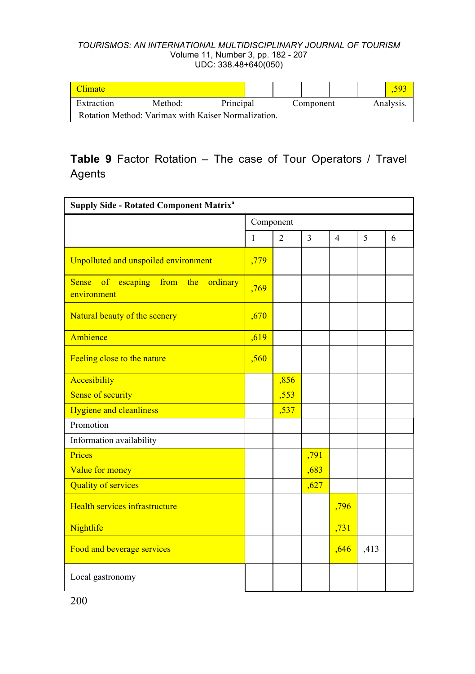| Climate               |                                                     |           |           |  |           |
|-----------------------|-----------------------------------------------------|-----------|-----------|--|-----------|
| Extraction<br>Method: |                                                     | Principal | Component |  | Analysis. |
|                       | Rotation Method: Varimax with Kaiser Normalization. |           |           |  |           |

# **Table 9** Factor Rotation – The case of Tour Operators / Travel Agents

| <b>Supply Side - Rotated Component Matrix<sup>a</sup></b>             |              |                |      |                |      |   |  |  |  |
|-----------------------------------------------------------------------|--------------|----------------|------|----------------|------|---|--|--|--|
|                                                                       | Component    |                |      |                |      |   |  |  |  |
|                                                                       | $\mathbf{1}$ | $\overline{c}$ | 3    | $\overline{4}$ | 5    | 6 |  |  |  |
| Unpolluted and unspoiled environment                                  | ,779         |                |      |                |      |   |  |  |  |
| escaping<br>from the<br><b>Sense</b><br>of<br>ordinary<br>environment | .769         |                |      |                |      |   |  |  |  |
| Natural beauty of the scenery                                         | ,670         |                |      |                |      |   |  |  |  |
| Ambience                                                              | ,619         |                |      |                |      |   |  |  |  |
| Feeling close to the nature                                           | .560         |                |      |                |      |   |  |  |  |
| Accesibility                                                          |              | ,856           |      |                |      |   |  |  |  |
| Sense of security                                                     |              | .553           |      |                |      |   |  |  |  |
| <b>Hygiene and cleanliness</b>                                        |              | ,537           |      |                |      |   |  |  |  |
| Promotion                                                             |              |                |      |                |      |   |  |  |  |
| Information availability                                              |              |                |      |                |      |   |  |  |  |
| Prices                                                                |              |                | ,791 |                |      |   |  |  |  |
| Value for money                                                       |              |                | ,683 |                |      |   |  |  |  |
| <b>Quality of services</b>                                            |              |                | ,627 |                |      |   |  |  |  |
| Health services infrastructure                                        |              |                |      | ,796           |      |   |  |  |  |
| Nightlife                                                             |              |                |      | ,731           |      |   |  |  |  |
| Food and beverage services                                            |              |                |      | ,646           | ,413 |   |  |  |  |
| Local gastronomy                                                      |              |                |      |                |      |   |  |  |  |

200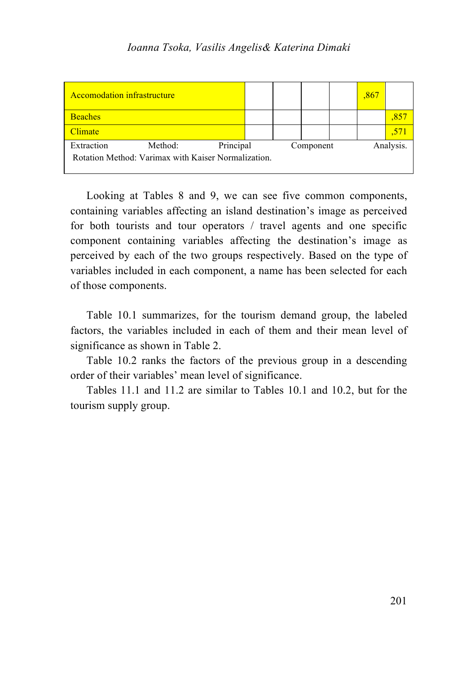| <b>Accomodation infrastructure</b> |                                                                |           |  |           | ,867 |           |
|------------------------------------|----------------------------------------------------------------|-----------|--|-----------|------|-----------|
| <b>Beaches</b>                     |                                                                |           |  |           |      |           |
| Climate                            |                                                                |           |  |           |      |           |
| Extraction                         | Method:<br>Rotation Method: Varimax with Kaiser Normalization. | Principal |  | Component |      | Analysis. |

Looking at Tables 8 and 9, we can see five common components, containing variables affecting an island destination's image as perceived for both tourists and tour operators / travel agents and one specific component containing variables affecting the destination's image as perceived by each of the two groups respectively. Based on the type of variables included in each component, a name has been selected for each of those components.

Table 10.1 summarizes, for the tourism demand group, the labeled factors, the variables included in each of them and their mean level of significance as shown in Table 2.

Table 10.2 ranks the factors of the previous group in a descending order of their variables' mean level of significance.

Tables 11.1 and 11.2 are similar to Tables 10.1 and 10.2, but for the tourism supply group.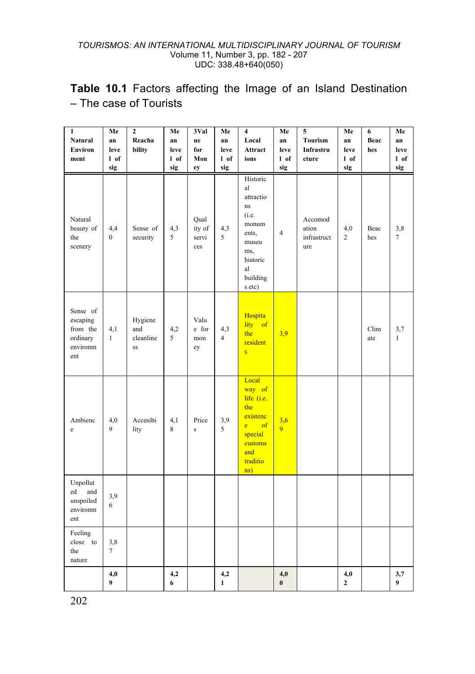**Table 10.1** Factors affecting the Image of an Island Destination – The case of Tourists

| $\mathbf{1}$<br><b>Natural</b>                                  | Me<br>an                     | $\overline{\mathbf{c}}$<br>Reacha | Me<br>an        | 3Val<br>ue                           | Me<br>an              | 4<br>Local                                                                                                           | Me<br>an              | 5<br><b>Tourism</b>                    | Me<br>an                       | 6<br>Beac   | Me<br>an                     |
|-----------------------------------------------------------------|------------------------------|-----------------------------------|-----------------|--------------------------------------|-----------------------|----------------------------------------------------------------------------------------------------------------------|-----------------------|----------------------------------------|--------------------------------|-------------|------------------------------|
| Environ<br>ment                                                 | leve<br>1 of                 | bility                            | leve<br>l of    | for<br>Mon                           | leve<br>l of          | Attract<br>ions                                                                                                      | leve<br>1 of          | Infrastru<br>cture                     | leve<br>1 of                   | hes         | leve<br>l of                 |
| Natural<br>beauty of<br>the<br>scenery                          | sig<br>4,4<br>$\overline{0}$ | Sense of<br>security              | sig<br>4,3<br>5 | ey<br>Qual<br>ity of<br>servi<br>ces | sig<br>4,3<br>5       | Historic<br>al<br>attractio<br>ns<br>(i.e.<br>monum<br>ents,<br>museu<br>ms,<br>historic<br>al<br>building<br>s etc) | sig<br>$\overline{4}$ | Accomod<br>ation<br>infrastruct<br>ure | sig<br>4,0<br>$\overline{c}$   | Beac<br>hes | sig<br>3,8<br>$\overline{7}$ |
| Sense of<br>escaping<br>from the<br>ordinary<br>environm<br>ent | 4,1<br>$\mathbf{1}$          | Hygiene<br>and<br>cleanline<br>SS | 4,2<br>5        | Valu<br>e for<br>mon<br>ey           | 4,3<br>$\overline{4}$ | Hospita<br>lity<br>of<br>the<br>resident<br>$\overline{\mathbf{s}}$                                                  | 3,9                   |                                        |                                | Clim<br>ate | 3,7<br>$\mathbf{1}$          |
| Ambienc<br>e                                                    | 4,0<br>9                     | Accesibi<br>lity                  | 4,1<br>8        | Price<br>$\mathbf{s}$                | 3,9<br>5              | Local<br>way of<br>life (i.e.<br>the<br>existenc<br>of<br>e<br>special<br>customs<br>and<br>traditio<br>ns)          | $\frac{3,6}{9}$       |                                        |                                |             |                              |
| Unpollut<br>ed<br>and<br>unspoiled<br>environm<br>ent           | 3,9<br>6                     |                                   |                 |                                      |                       |                                                                                                                      |                       |                                        |                                |             |                              |
| Feeling<br>close to<br>the<br>nature                            | 3,8<br>$\overline{7}$        |                                   |                 |                                      |                       |                                                                                                                      |                       |                                        |                                |             |                              |
|                                                                 | 4,0<br>9                     |                                   | 4,2<br>6        |                                      | 4,2<br>1              |                                                                                                                      | 4,0<br>$\bf{0}$       |                                        | 4,0<br>$\overline{\mathbf{c}}$ |             | 3,7<br>9                     |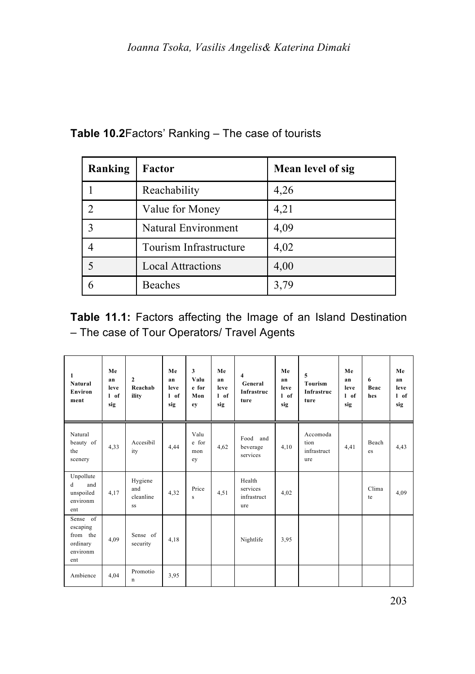| Ranking | Factor                   | Mean level of sig |
|---------|--------------------------|-------------------|
|         | Reachability             | 4,26              |
|         | Value for Money          | 4,21              |
| 3       | Natural Environment      | 4,09              |
|         | Tourism Infrastructure   | 4,02              |
|         | <b>Local Attractions</b> | 4,00              |
|         | <b>Beaches</b>           | 3,79              |

# **Table 10.2**Factors' Ranking – The case of tourists

**Table 11.1:** Factors affecting the Image of an Island Destination – The case of Tour Operators/ Travel Agents

| 1<br>Natural<br>Environ<br>ment                                 | Me<br>an<br>leve<br>1 of<br>sig | $\overline{\mathbf{c}}$<br>Reachab<br>ility | Me<br>an<br>leve<br>$1$ of<br>sig | 3<br>Valu<br>e for<br>Mon<br>ev | Me<br>an<br>leve<br>$1$ of<br>sig | $\overline{\mathbf{4}}$<br>General<br>Infrastruc<br>ture | Me<br>an<br>leve<br>$I$ of<br>sig | 5<br>Tourism<br>Infrastruc<br>ture     | Me<br>an<br>leve<br>$1$ of<br>sig | 6<br>Beac<br>hes | Me<br>an<br>leve<br>1 of<br>sig |
|-----------------------------------------------------------------|---------------------------------|---------------------------------------------|-----------------------------------|---------------------------------|-----------------------------------|----------------------------------------------------------|-----------------------------------|----------------------------------------|-----------------------------------|------------------|---------------------------------|
| Natural<br>beauty of<br>the<br>scenery                          | 4,33                            | Accesibil<br>ity                            | 4,44                              | Valu<br>e for<br>mon<br>ev      | 4.62                              | Food and<br>beverage<br>services                         | 4,10                              | Accomoda<br>tion<br>infrastruct<br>ure | 4,41                              | Beach<br>es      | 4,43                            |
| Unpollute<br>d<br>and<br>unspoiled<br>environm<br>ent           | 4.17                            | Hygiene<br>and<br>cleanline<br>SS           | 4,32                              | Price<br>s                      | 4,51                              | Health<br>services<br>infrastruct<br>ure                 | 4.02                              |                                        |                                   | Clima<br>te      | 4,09                            |
| Sense of<br>escaping<br>from the<br>ordinary<br>environm<br>ent | 4,09                            | Sense of<br>security                        | 4.18                              |                                 |                                   | Nightlife                                                | 3.95                              |                                        |                                   |                  |                                 |
| Ambience                                                        | 4.04                            | Promotio<br>n                               | 3,95                              |                                 |                                   |                                                          |                                   |                                        |                                   |                  |                                 |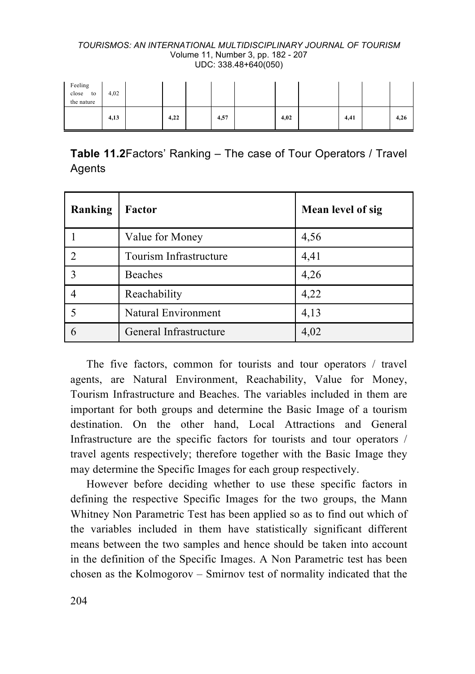| Feeling<br>close<br>to<br>the nature | 4,02 |      |      |      |      |      |
|--------------------------------------|------|------|------|------|------|------|
|                                      | 4,13 | 4,22 | 4,57 | 4,02 | 4,41 | 4,26 |

| <b>Table 11.2 Factors' Ranking – The case of Tour Operators / Travel</b> |  |  |  |
|--------------------------------------------------------------------------|--|--|--|
| Agents                                                                   |  |  |  |

| Ranking | Factor                 | Mean level of sig |
|---------|------------------------|-------------------|
|         | Value for Money        | 4,56              |
|         | Tourism Infrastructure | 4,41              |
| 3       | <b>Beaches</b>         | 4,26              |
|         | Reachability           | 4,22              |
|         | Natural Environment    | 4,13              |
|         | General Infrastructure | 4,02              |

The five factors, common for tourists and tour operators / travel agents, are Natural Environment, Reachability, Value for Money, Tourism Infrastructure and Beaches. The variables included in them are important for both groups and determine the Basic Image of a tourism destination. On the other hand, Local Attractions and General Infrastructure are the specific factors for tourists and tour operators / travel agents respectively; therefore together with the Basic Image they may determine the Specific Images for each group respectively.

However before deciding whether to use these specific factors in defining the respective Specific Images for the two groups, the Mann Whitney Non Parametric Test has been applied so as to find out which of the variables included in them have statistically significant different means between the two samples and hence should be taken into account in the definition of the Specific Images. A Non Parametric test has been chosen as the Kolmogorov – Smirnov test of normality indicated that the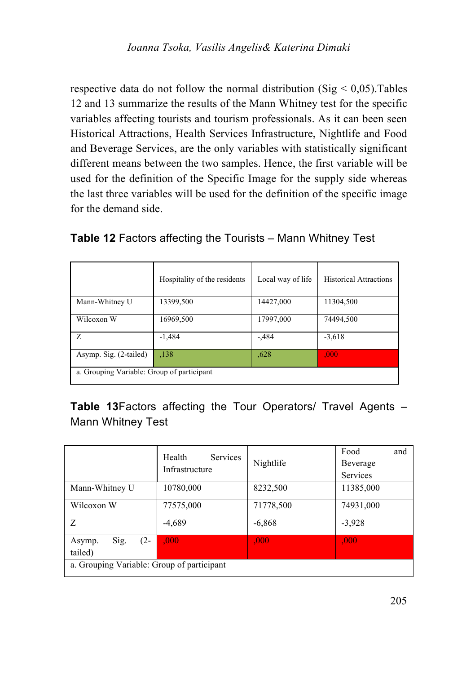respective data do not follow the normal distribution ( $Sig < 0.05$ ). Tables 12 and 13 summarize the results of the Mann Whitney test for the specific variables affecting tourists and tourism professionals. As it can been seen Historical Attractions, Health Services Infrastructure, Nightlife and Food and Beverage Services, are the only variables with statistically significant different means between the two samples. Hence, the first variable will be used for the definition of the Specific Image for the supply side whereas the last three variables will be used for the definition of the specific image for the demand side.

|                        | Hospitality of the residents               | Local way of life | <b>Historical Attractions</b> |  |  |  |  |  |  |
|------------------------|--------------------------------------------|-------------------|-------------------------------|--|--|--|--|--|--|
| Mann-Whitney U         | 13399,500                                  | 14427,000         | 11304,500                     |  |  |  |  |  |  |
| Wilcoxon W             | 16969,500                                  | 17997,000         | 74494,500                     |  |  |  |  |  |  |
| Z                      | $-1,484$                                   | $-484$            | $-3,618$                      |  |  |  |  |  |  |
| Asymp. Sig. (2-tailed) | ,138                                       | ,628              | .000                          |  |  |  |  |  |  |
|                        | a. Grouping Variable: Group of participant |                   |                               |  |  |  |  |  |  |

**Table 12** Factors affecting the Tourists – Mann Whitney Test

**Table 13**Factors affecting the Tour Operators/ Travel Agents – Mann Whitney Test

|                                     | Services<br>Health<br>Infrastructure       | Nightlife | Food<br>and<br>Beverage<br>Services |  |  |  |  |  |  |  |
|-------------------------------------|--------------------------------------------|-----------|-------------------------------------|--|--|--|--|--|--|--|
| Mann-Whitney U                      | 10780,000                                  | 8232,500  | 11385,000                           |  |  |  |  |  |  |  |
| Wilcoxon W                          | 77575,000                                  | 71778,500 | 74931,000                           |  |  |  |  |  |  |  |
| Z                                   | $-4,689$                                   | $-6,868$  | $-3,928$                            |  |  |  |  |  |  |  |
| Sig.<br>$(2 -$<br>Asymp.<br>tailed) | .000                                       | .000      | .000                                |  |  |  |  |  |  |  |
|                                     | a. Grouping Variable: Group of participant |           |                                     |  |  |  |  |  |  |  |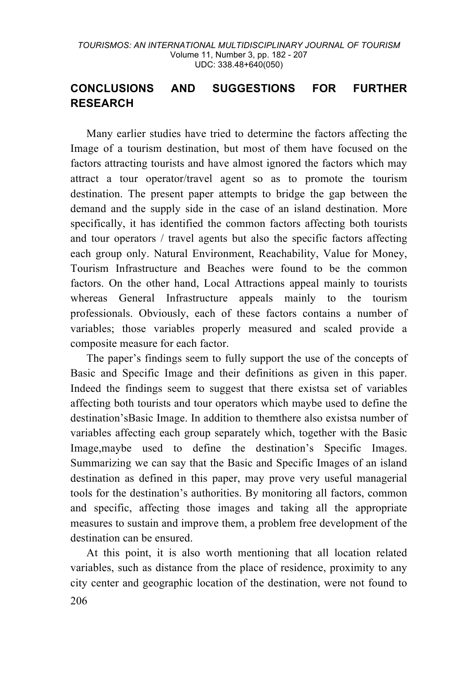## **CONCLUSIONS AND SUGGESTIONS FOR FURTHER RESEARCH**

Many earlier studies have tried to determine the factors affecting the Image of a tourism destination, but most of them have focused on the factors attracting tourists and have almost ignored the factors which may attract a tour operator/travel agent so as to promote the tourism destination. The present paper attempts to bridge the gap between the demand and the supply side in the case of an island destination. More specifically, it has identified the common factors affecting both tourists and tour operators / travel agents but also the specific factors affecting each group only. Natural Environment, Reachability, Value for Money, Tourism Infrastructure and Beaches were found to be the common factors. On the other hand, Local Attractions appeal mainly to tourists whereas General Infrastructure appeals mainly to the tourism professionals. Obviously, each of these factors contains a number of variables; those variables properly measured and scaled provide a composite measure for each factor.

The paper's findings seem to fully support the use of the concepts of Basic and Specific Image and their definitions as given in this paper. Indeed the findings seem to suggest that there existsa set of variables affecting both tourists and tour operators which maybe used to define the destination'sBasic Image. In addition to themthere also existsa number of variables affecting each group separately which, together with the Basic Image,maybe used to define the destination's Specific Images. Summarizing we can say that the Basic and Specific Images of an island destination as defined in this paper, may prove very useful managerial tools for the destination's authorities. By monitoring all factors, common and specific, affecting those images and taking all the appropriate measures to sustain and improve them, a problem free development of the destination can be ensured.

206 At this point, it is also worth mentioning that all location related variables, such as distance from the place of residence, proximity to any city center and geographic location of the destination, were not found to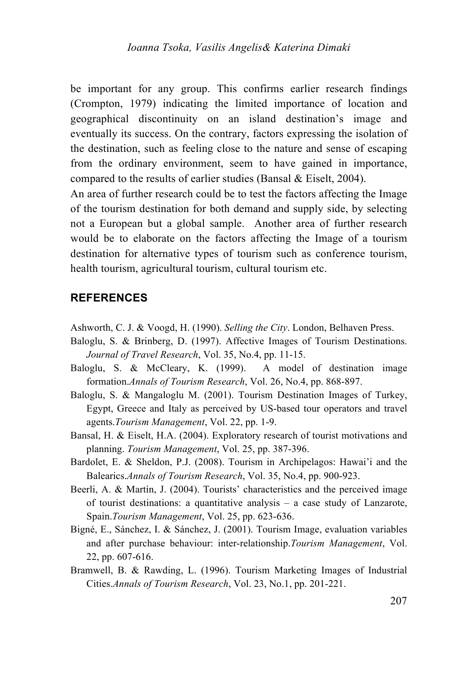be important for any group. This confirms earlier research findings (Crompton, 1979) indicating the limited importance of location and geographical discontinuity on an island destination's image and eventually its success. On the contrary, factors expressing the isolation of the destination, such as feeling close to the nature and sense of escaping from the ordinary environment, seem to have gained in importance, compared to the results of earlier studies (Bansal & Eiselt, 2004).

An area of further research could be to test the factors affecting the Image of the tourism destination for both demand and supply side, by selecting not a European but a global sample. Another area of further research would be to elaborate on the factors affecting the Image of a tourism destination for alternative types of tourism such as conference tourism, health tourism, agricultural tourism, cultural tourism etc.

### **REFERENCES**

- Ashworth, C. J. & Voogd, H. (1990). *Selling the City*. London, Belhaven Press.
- Baloglu, S. & Brinberg, D. (1997). Affective Images of Tourism Destinations. *Journal of Travel Research*, Vol. 35, No.4, pp. 11-15.
- Baloglu, S. & McCleary, K. (1999). A model of destination image formation.*Annals of Tourism Research*, Vol. 26, No.4, pp. 868-897.
- Baloglu, S. & Mangaloglu M. (2001). Tourism Destination Images of Turkey, Egypt, Greece and Italy as perceived by US-based tour operators and travel agents.*Tourism Management*, Vol. 22, pp. 1-9.
- Bansal, H. & Eiselt, H.A. (2004). Exploratory research of tourist motivations and planning. *Tourism Management*, Vol. 25, pp. 387-396.
- Bardolet, E. & Sheldon, P.J. (2008). Tourism in Archipelagos: Hawai'i and the Balearics.*Annals of Tourism Research*, Vol. 35, No.4, pp. 900-923.
- Beerli, A. & Martín, J. (2004). Tourists' characteristics and the perceived image of tourist destinations: a quantitative analysis – a case study of Lanzarote, Spain.*Tourism Management*, Vol. 25, pp. 623-636.
- Bigné, E., Sánchez, I. & Sánchez, J. (2001). Tourism Image, evaluation variables and after purchase behaviour: inter-relationship.*Tourism Management*, Vol. 22, pp. 607-616.
- Bramwell, B. & Rawding, L. (1996). Tourism Marketing Images of Industrial Cities.*Annals of Tourism Research*, Vol. 23, No.1, pp. 201-221.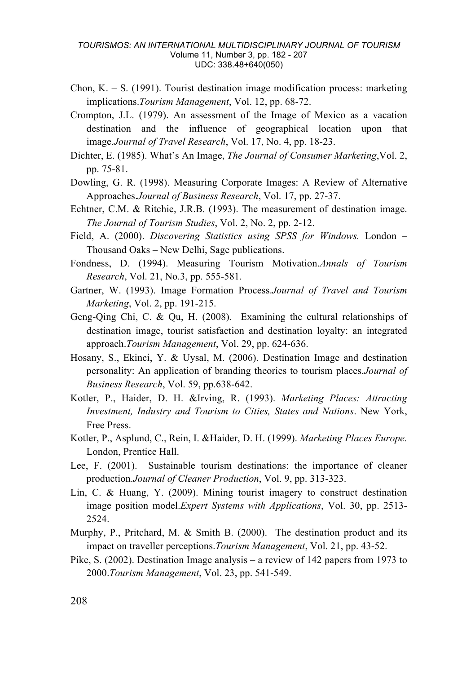- Chon, K.  $-$  S. (1991). Tourist destination image modification process: marketing implications.*Tourism Management*, Vol. 12, pp. 68-72.
- Crompton, J.L. (1979). An assessment of the Image of Mexico as a vacation destination and the influence of geographical location upon that image.*Journal of Travel Research*, Vol. 17, No. 4, pp. 18-23.
- Dichter, E. (1985). What's An Image, *The Journal of Consumer Marketing*,Vol. 2, pp. 75-81.
- Dowling, G. R. (1998). Measuring Corporate Images: A Review of Alternative Approaches.*Journal of Business Research*, Vol. 17, pp. 27-37.
- Echtner, C.M. & Ritchie, J.R.B. (1993). The measurement of destination image. *The Journal of Tourism Studies*, Vol. 2, No. 2, pp. 2-12.
- Field, A. (2000). *Discovering Statistics using SPSS for Windows.* London Thousand Oaks – New Delhi, Sage publications.
- Fondness, D. (1994). Measuring Tourism Motivation.*Annals of Tourism Research*, Vol. 21, No.3, pp. 555-581.
- Gartner, W. (1993). Image Formation Process.*Journal of Travel and Tourism Marketing*, Vol. 2, pp. 191-215.
- Geng-Qing Chi, C. & Qu, H. (2008). Examining the cultural relationships of destination image, tourist satisfaction and destination loyalty: an integrated approach.*Tourism Management*, Vol. 29, pp. 624-636.
- Hosany, S., Ekinci, Y. & Uysal, M. (2006). Destination Image and destination personality: An application of branding theories to tourism places.*Journal of Business Research*, Vol. 59, pp.638-642.
- Kotler, P., Haider, D. H. &Irving, R. (1993). *Marketing Places: Attracting Investment, Industry and Tourism to Cities, States and Nations*. New York, Free Press.
- Kotler, P., Asplund, C., Rein, I. &Haider, D. H. (1999). *Marketing Places Europe.* London, Prentice Hall.
- Lee, F. (2001). Sustainable tourism destinations: the importance of cleaner production.*Journal of Cleaner Production*, Vol. 9, pp. 313-323.
- Lin, C. & Huang, Y. (2009). Mining tourist imagery to construct destination image position model.*Expert Systems with Applications*, Vol. 30, pp. 2513- 2524.
- Murphy, P., Pritchard, M. & Smith B. (2000). The destination product and its impact on traveller perceptions.*Tourism Management*, Vol. 21, pp. 43-52.
- Pike, S. (2002). Destination Image analysis a review of 142 papers from 1973 to 2000.*Tourism Management*, Vol. 23, pp. 541-549.